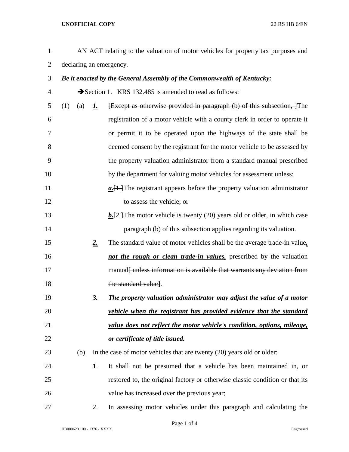## **UNOFFICIAL COPY** 22 RS HB 6/EN

| $\mathbf{1}$   | AN ACT relating to the valuation of motor vehicles for property tax purposes and |     |           |                                                                                           |  |  |  |
|----------------|----------------------------------------------------------------------------------|-----|-----------|-------------------------------------------------------------------------------------------|--|--|--|
| $\overline{2}$ | declaring an emergency.                                                          |     |           |                                                                                           |  |  |  |
| 3              | Be it enacted by the General Assembly of the Commonwealth of Kentucky:           |     |           |                                                                                           |  |  |  |
| 4              |                                                                                  |     |           | Section 1. KRS 132.485 is amended to read as follows:                                     |  |  |  |
| 5              | (1)                                                                              | (a) | <u>I.</u> | <b>Except as otherwise provided in paragraph (b) of this subsection, The</b>              |  |  |  |
| 6              |                                                                                  |     |           | registration of a motor vehicle with a county clerk in order to operate it                |  |  |  |
| 7              |                                                                                  |     |           | or permit it to be operated upon the highways of the state shall be                       |  |  |  |
| 8              |                                                                                  |     |           | deemed consent by the registrant for the motor vehicle to be assessed by                  |  |  |  |
| 9              |                                                                                  |     |           | the property valuation administrator from a standard manual prescribed                    |  |  |  |
| 10             |                                                                                  |     |           | by the department for valuing motor vehicles for assessment unless:                       |  |  |  |
| 11             |                                                                                  |     |           | $a$ . $[1,1]$ The registrant appears before the property valuation administrator          |  |  |  |
| 12             |                                                                                  |     |           | to assess the vehicle; or                                                                 |  |  |  |
| 13             |                                                                                  |     |           | $\underline{b}$ . [2.] The motor vehicle is twenty (20) years old or older, in which case |  |  |  |
| 14             |                                                                                  |     |           | paragraph (b) of this subsection applies regarding its valuation.                         |  |  |  |
| 15             |                                                                                  |     | 2.        | The standard value of motor vehicles shall be the average trade-in value,                 |  |  |  |
| 16             |                                                                                  |     |           | not the rough or clean trade-in values, prescribed by the valuation                       |  |  |  |
| 17             |                                                                                  |     |           | manual unless information is available that warrants any deviation from                   |  |  |  |
| 18             |                                                                                  |     |           | the standard value].                                                                      |  |  |  |
| 19             |                                                                                  |     | 3.        | The property valuation administrator may adjust the value of a motor                      |  |  |  |
| 20             |                                                                                  |     |           | vehicle when the registrant has provided evidence that the standard                       |  |  |  |
| 21             |                                                                                  |     |           | value does not reflect the motor vehicle's condition, options, mileage,                   |  |  |  |
| 22             |                                                                                  |     |           | or certificate of title issued.                                                           |  |  |  |
| 23             |                                                                                  | (b) |           | In the case of motor vehicles that are twenty $(20)$ years old or older:                  |  |  |  |
| 24             |                                                                                  |     | 1.        | It shall not be presumed that a vehicle has been maintained in, or                        |  |  |  |
| 25             |                                                                                  |     |           | restored to, the original factory or otherwise classic condition or that its              |  |  |  |
| 26             |                                                                                  |     |           | value has increased over the previous year;                                               |  |  |  |
| 27             |                                                                                  |     | 2.        | In assessing motor vehicles under this paragraph and calculating the                      |  |  |  |

Page 1 of 4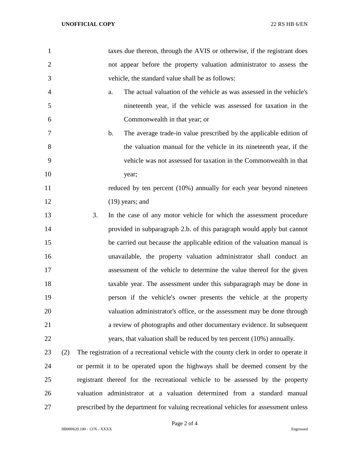| $\mathbf{1}$   |     |    | taxes due thereon, through the AVIS or otherwise, if the registrant does                |
|----------------|-----|----|-----------------------------------------------------------------------------------------|
| $\overline{2}$ |     |    | not appear before the property valuation administrator to assess the                    |
| 3              |     |    | vehicle, the standard value shall be as follows:                                        |
| 4              |     |    | The actual valuation of the vehicle as was assessed in the vehicle's<br>a.              |
| 5              |     |    | nineteenth year, if the vehicle was assessed for taxation in the                        |
| 6              |     |    | Commonwealth in that year; or                                                           |
| 7              |     |    | The average trade-in value prescribed by the applicable edition of<br>$\mathbf b$ .     |
| 8              |     |    | the valuation manual for the vehicle in its nineteenth year, if the                     |
| 9              |     |    | vehicle was not assessed for taxation in the Commonwealth in that                       |
| 10             |     |    | year;                                                                                   |
| 11             |     |    | reduced by ten percent (10%) annually for each year beyond nineteen                     |
| 12             |     |    | $(19)$ years; and                                                                       |
| 13             |     | 3. | In the case of any motor vehicle for which the assessment procedure                     |
| 14             |     |    | provided in subparagraph 2.b. of this paragraph would apply but cannot                  |
| 15             |     |    | be carried out because the applicable edition of the valuation manual is                |
| 16             |     |    | unavailable, the property valuation administrator shall conduct an                      |
| 17             |     |    | assessment of the vehicle to determine the value thereof for the given                  |
| 18             |     |    | taxable year. The assessment under this subparagraph may be done in                     |
| 19             |     |    | person if the vehicle's owner presents the vehicle at the property                      |
| 20             |     |    | valuation administrator's office, or the assessment may be done through                 |
| 21             |     |    | a review of photographs and other documentary evidence. In subsequent                   |
| 22             |     |    | years, that valuation shall be reduced by ten percent (10%) annually.                   |
| 23             | (2) |    | The registration of a recreational vehicle with the county clerk in order to operate it |
| 24             |     |    | or permit it to be operated upon the highways shall be deemed consent by the            |
| 25             |     |    | registrant thereof for the recreational vehicle to be assessed by the property          |
| 26             |     |    | valuation administrator at a valuation determined from a standard manual                |
| 27             |     |    | prescribed by the department for valuing recreational vehicles for assessment unless    |

Page 2 of 4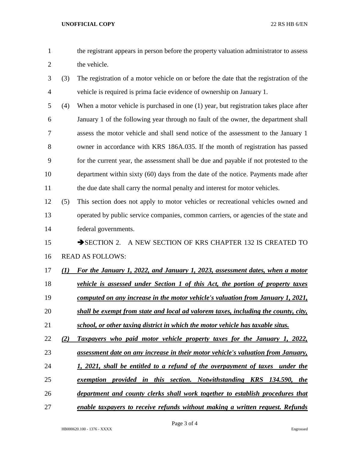- the registrant appears in person before the property valuation administrator to assess 2 the vehicle.
- (3) The registration of a motor vehicle on or before the date that the registration of the vehicle is required is prima facie evidence of ownership on January 1.
- (4) When a motor vehicle is purchased in one (1) year, but registration takes place after January 1 of the following year through no fault of the owner, the department shall assess the motor vehicle and shall send notice of the assessment to the January 1 owner in accordance with KRS 186A.035. If the month of registration has passed for the current year, the assessment shall be due and payable if not protested to the department within sixty (60) days from the date of the notice. Payments made after 11 the due date shall carry the normal penalty and interest for motor vehicles.
- (5) This section does not apply to motor vehicles or recreational vehicles owned and operated by public service companies, common carriers, or agencies of the state and federal governments.

15 SECTION 2. A NEW SECTION OF KRS CHAPTER 132 IS CREATED TO READ AS FOLLOWS:

- *(1) For the January 1, 2022, and January 1, 2023, assessment dates, when a motor*
- *vehicle is assessed under Section 1 of this Act, the portion of property taxes*
- *computed on any increase in the motor vehicle's valuation from January 1, 2021,*
- *shall be exempt from state and local ad valorem taxes, including the county, city,*
- *school, or other taxing district in which the motor vehicle has taxable situs.*
- *(2) Taxpayers who paid motor vehicle property taxes for the January 1, 2022,*
- *assessment date on any increase in their motor vehicle's valuation from January,*
- *1, 2021, shall be entitled to a refund of the overpayment of taxes under the*
- *exemption provided in this section. Notwithstanding KRS 134.590, the*
- *department and county clerks shall work together to establish procedures that*
- *enable taxpayers to receive refunds without making a written request. Refunds*